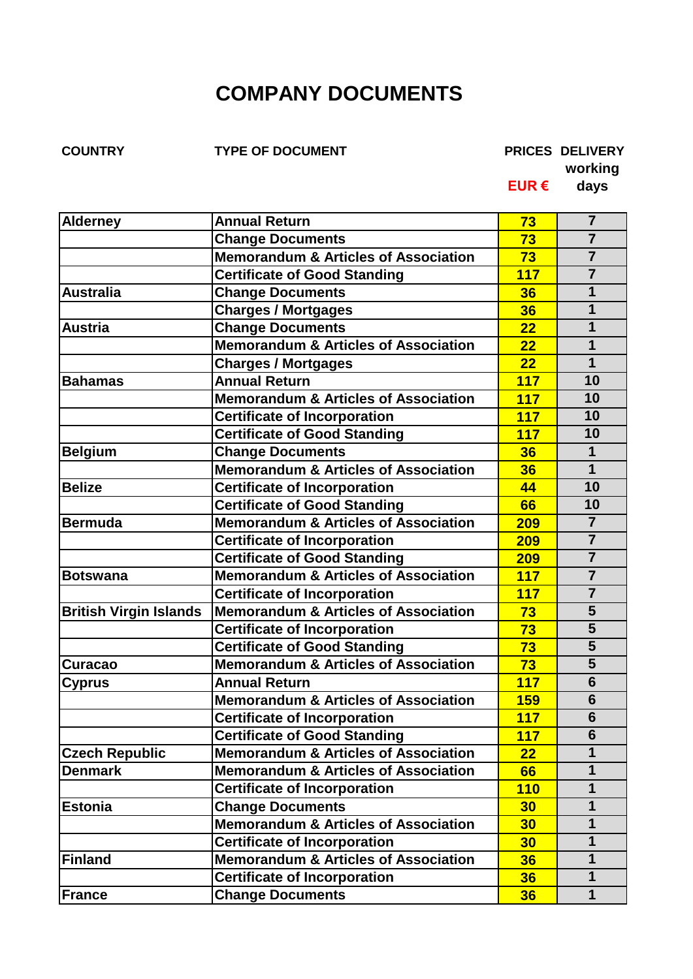## **COMPANY DOCUMENTS**

**COUNTRY TYPE OF DOCUMENT PRICES DELIVERY**

**working**

**EUR € days**

| $\overline{7}$<br><b>Change Documents</b><br>73<br>$\overline{7}$<br><b>Memorandum &amp; Articles of Association</b><br>73<br>$\overline{7}$<br><b>Certificate of Good Standing</b><br><b>117</b><br>1<br><b>Australia</b><br><b>Change Documents</b><br>36<br><b>Charges / Mortgages</b><br>$\mathbf 1$<br>36<br>$\mathbf 1$<br><b>Change Documents</b><br>22<br><b>Austria</b><br>Memorandum & Articles of Association<br>22<br>1<br>$\mathbf 1$<br>22<br><b>Charges / Mortgages</b><br><b>Annual Return</b><br>10<br>117<br><b>Bahamas</b><br>10<br><b>Memorandum &amp; Articles of Association</b><br>117<br>10<br><b>Certificate of Incorporation</b><br>117<br><b>Certificate of Good Standing</b><br>10<br><b>117</b><br>$\mathbf 1$<br><b>Change Documents</b><br>36<br>$\overline{1}$<br>Memorandum & Articles of Association<br>36<br>10<br><b>Certificate of Incorporation</b><br>44<br><b>Certificate of Good Standing</b><br>10<br>66<br>$\overline{7}$<br><b>Memorandum &amp; Articles of Association</b><br><b>Bermuda</b><br><b>209</b><br>$\overline{7}$<br><b>Certificate of Incorporation</b><br>209<br><b>Certificate of Good Standing</b><br>$\overline{7}$<br>209<br><b>Memorandum &amp; Articles of Association</b><br>$\overline{7}$<br>117<br><b>Botswana</b><br>$\overline{7}$<br><b>Certificate of Incorporation</b><br><b>117</b><br>5<br><b>Memorandum &amp; Articles of Association</b><br><b>British Virgin Islands</b><br>73<br>5<br><b>Certificate of Incorporation</b><br>73<br>$\overline{\mathbf{5}}$<br><b>Certificate of Good Standing</b><br>73<br><b>Memorandum &amp; Articles of Association</b><br>5<br>73<br>Curacao<br><b>Annual Return</b><br>6<br>117<br><b>Cyprus</b><br>$6\phantom{1}6$<br><b>Memorandum &amp; Articles of Association</b><br><b>159</b><br>6<br><b>Certificate of Incorporation</b><br><b>117</b><br>$6\phantom{1}6$<br><b>Certificate of Good Standing</b><br>117<br>$\mathbf{1}$<br><b>Memorandum &amp; Articles of Association</b><br>22<br><b>Memorandum &amp; Articles of Association</b><br>$\mathbf 1$<br><b>Denmark</b><br>66<br>$\mathbf 1$<br><b>Certificate of Incorporation</b><br><b>110</b><br>$\mathbf 1$<br><b>Change Documents</b><br>30<br><b>Memorandum &amp; Articles of Association</b><br>30<br>1<br>1<br><b>Certificate of Incorporation</b><br>30<br><b>Memorandum &amp; Articles of Association</b><br>$\mathbf 1$<br>36<br><b>Finland</b><br><b>Certificate of Incorporation</b><br>$\mathbf 1$<br>36<br><b>Change Documents</b><br>$\mathbf 1$<br>36 | <b>Alderney</b>       | <b>Annual Return</b> | 73 | 7 |
|--------------------------------------------------------------------------------------------------------------------------------------------------------------------------------------------------------------------------------------------------------------------------------------------------------------------------------------------------------------------------------------------------------------------------------------------------------------------------------------------------------------------------------------------------------------------------------------------------------------------------------------------------------------------------------------------------------------------------------------------------------------------------------------------------------------------------------------------------------------------------------------------------------------------------------------------------------------------------------------------------------------------------------------------------------------------------------------------------------------------------------------------------------------------------------------------------------------------------------------------------------------------------------------------------------------------------------------------------------------------------------------------------------------------------------------------------------------------------------------------------------------------------------------------------------------------------------------------------------------------------------------------------------------------------------------------------------------------------------------------------------------------------------------------------------------------------------------------------------------------------------------------------------------------------------------------------------------------------------------------------------------------------------------------------------------------------------------------------------------------------------------------------------------------------------------------------------------------------------------------------------------------------------------------------------------------------------------------------------------------------------------------------------------------------------------------------------------------------------------------------------------------------------------------------|-----------------------|----------------------|----|---|
|                                                                                                                                                                                                                                                                                                                                                                                                                                                                                                                                                                                                                                                                                                                                                                                                                                                                                                                                                                                                                                                                                                                                                                                                                                                                                                                                                                                                                                                                                                                                                                                                                                                                                                                                                                                                                                                                                                                                                                                                                                                                                                                                                                                                                                                                                                                                                                                                                                                                                                                                                  |                       |                      |    |   |
|                                                                                                                                                                                                                                                                                                                                                                                                                                                                                                                                                                                                                                                                                                                                                                                                                                                                                                                                                                                                                                                                                                                                                                                                                                                                                                                                                                                                                                                                                                                                                                                                                                                                                                                                                                                                                                                                                                                                                                                                                                                                                                                                                                                                                                                                                                                                                                                                                                                                                                                                                  |                       |                      |    |   |
|                                                                                                                                                                                                                                                                                                                                                                                                                                                                                                                                                                                                                                                                                                                                                                                                                                                                                                                                                                                                                                                                                                                                                                                                                                                                                                                                                                                                                                                                                                                                                                                                                                                                                                                                                                                                                                                                                                                                                                                                                                                                                                                                                                                                                                                                                                                                                                                                                                                                                                                                                  |                       |                      |    |   |
|                                                                                                                                                                                                                                                                                                                                                                                                                                                                                                                                                                                                                                                                                                                                                                                                                                                                                                                                                                                                                                                                                                                                                                                                                                                                                                                                                                                                                                                                                                                                                                                                                                                                                                                                                                                                                                                                                                                                                                                                                                                                                                                                                                                                                                                                                                                                                                                                                                                                                                                                                  |                       |                      |    |   |
|                                                                                                                                                                                                                                                                                                                                                                                                                                                                                                                                                                                                                                                                                                                                                                                                                                                                                                                                                                                                                                                                                                                                                                                                                                                                                                                                                                                                                                                                                                                                                                                                                                                                                                                                                                                                                                                                                                                                                                                                                                                                                                                                                                                                                                                                                                                                                                                                                                                                                                                                                  |                       |                      |    |   |
|                                                                                                                                                                                                                                                                                                                                                                                                                                                                                                                                                                                                                                                                                                                                                                                                                                                                                                                                                                                                                                                                                                                                                                                                                                                                                                                                                                                                                                                                                                                                                                                                                                                                                                                                                                                                                                                                                                                                                                                                                                                                                                                                                                                                                                                                                                                                                                                                                                                                                                                                                  |                       |                      |    |   |
|                                                                                                                                                                                                                                                                                                                                                                                                                                                                                                                                                                                                                                                                                                                                                                                                                                                                                                                                                                                                                                                                                                                                                                                                                                                                                                                                                                                                                                                                                                                                                                                                                                                                                                                                                                                                                                                                                                                                                                                                                                                                                                                                                                                                                                                                                                                                                                                                                                                                                                                                                  |                       |                      |    |   |
|                                                                                                                                                                                                                                                                                                                                                                                                                                                                                                                                                                                                                                                                                                                                                                                                                                                                                                                                                                                                                                                                                                                                                                                                                                                                                                                                                                                                                                                                                                                                                                                                                                                                                                                                                                                                                                                                                                                                                                                                                                                                                                                                                                                                                                                                                                                                                                                                                                                                                                                                                  |                       |                      |    |   |
|                                                                                                                                                                                                                                                                                                                                                                                                                                                                                                                                                                                                                                                                                                                                                                                                                                                                                                                                                                                                                                                                                                                                                                                                                                                                                                                                                                                                                                                                                                                                                                                                                                                                                                                                                                                                                                                                                                                                                                                                                                                                                                                                                                                                                                                                                                                                                                                                                                                                                                                                                  |                       |                      |    |   |
|                                                                                                                                                                                                                                                                                                                                                                                                                                                                                                                                                                                                                                                                                                                                                                                                                                                                                                                                                                                                                                                                                                                                                                                                                                                                                                                                                                                                                                                                                                                                                                                                                                                                                                                                                                                                                                                                                                                                                                                                                                                                                                                                                                                                                                                                                                                                                                                                                                                                                                                                                  |                       |                      |    |   |
|                                                                                                                                                                                                                                                                                                                                                                                                                                                                                                                                                                                                                                                                                                                                                                                                                                                                                                                                                                                                                                                                                                                                                                                                                                                                                                                                                                                                                                                                                                                                                                                                                                                                                                                                                                                                                                                                                                                                                                                                                                                                                                                                                                                                                                                                                                                                                                                                                                                                                                                                                  |                       |                      |    |   |
|                                                                                                                                                                                                                                                                                                                                                                                                                                                                                                                                                                                                                                                                                                                                                                                                                                                                                                                                                                                                                                                                                                                                                                                                                                                                                                                                                                                                                                                                                                                                                                                                                                                                                                                                                                                                                                                                                                                                                                                                                                                                                                                                                                                                                                                                                                                                                                                                                                                                                                                                                  |                       |                      |    |   |
|                                                                                                                                                                                                                                                                                                                                                                                                                                                                                                                                                                                                                                                                                                                                                                                                                                                                                                                                                                                                                                                                                                                                                                                                                                                                                                                                                                                                                                                                                                                                                                                                                                                                                                                                                                                                                                                                                                                                                                                                                                                                                                                                                                                                                                                                                                                                                                                                                                                                                                                                                  | <b>Belgium</b>        |                      |    |   |
|                                                                                                                                                                                                                                                                                                                                                                                                                                                                                                                                                                                                                                                                                                                                                                                                                                                                                                                                                                                                                                                                                                                                                                                                                                                                                                                                                                                                                                                                                                                                                                                                                                                                                                                                                                                                                                                                                                                                                                                                                                                                                                                                                                                                                                                                                                                                                                                                                                                                                                                                                  |                       |                      |    |   |
|                                                                                                                                                                                                                                                                                                                                                                                                                                                                                                                                                                                                                                                                                                                                                                                                                                                                                                                                                                                                                                                                                                                                                                                                                                                                                                                                                                                                                                                                                                                                                                                                                                                                                                                                                                                                                                                                                                                                                                                                                                                                                                                                                                                                                                                                                                                                                                                                                                                                                                                                                  | <b>Belize</b>         |                      |    |   |
|                                                                                                                                                                                                                                                                                                                                                                                                                                                                                                                                                                                                                                                                                                                                                                                                                                                                                                                                                                                                                                                                                                                                                                                                                                                                                                                                                                                                                                                                                                                                                                                                                                                                                                                                                                                                                                                                                                                                                                                                                                                                                                                                                                                                                                                                                                                                                                                                                                                                                                                                                  |                       |                      |    |   |
|                                                                                                                                                                                                                                                                                                                                                                                                                                                                                                                                                                                                                                                                                                                                                                                                                                                                                                                                                                                                                                                                                                                                                                                                                                                                                                                                                                                                                                                                                                                                                                                                                                                                                                                                                                                                                                                                                                                                                                                                                                                                                                                                                                                                                                                                                                                                                                                                                                                                                                                                                  |                       |                      |    |   |
|                                                                                                                                                                                                                                                                                                                                                                                                                                                                                                                                                                                                                                                                                                                                                                                                                                                                                                                                                                                                                                                                                                                                                                                                                                                                                                                                                                                                                                                                                                                                                                                                                                                                                                                                                                                                                                                                                                                                                                                                                                                                                                                                                                                                                                                                                                                                                                                                                                                                                                                                                  |                       |                      |    |   |
|                                                                                                                                                                                                                                                                                                                                                                                                                                                                                                                                                                                                                                                                                                                                                                                                                                                                                                                                                                                                                                                                                                                                                                                                                                                                                                                                                                                                                                                                                                                                                                                                                                                                                                                                                                                                                                                                                                                                                                                                                                                                                                                                                                                                                                                                                                                                                                                                                                                                                                                                                  |                       |                      |    |   |
|                                                                                                                                                                                                                                                                                                                                                                                                                                                                                                                                                                                                                                                                                                                                                                                                                                                                                                                                                                                                                                                                                                                                                                                                                                                                                                                                                                                                                                                                                                                                                                                                                                                                                                                                                                                                                                                                                                                                                                                                                                                                                                                                                                                                                                                                                                                                                                                                                                                                                                                                                  |                       |                      |    |   |
|                                                                                                                                                                                                                                                                                                                                                                                                                                                                                                                                                                                                                                                                                                                                                                                                                                                                                                                                                                                                                                                                                                                                                                                                                                                                                                                                                                                                                                                                                                                                                                                                                                                                                                                                                                                                                                                                                                                                                                                                                                                                                                                                                                                                                                                                                                                                                                                                                                                                                                                                                  |                       |                      |    |   |
|                                                                                                                                                                                                                                                                                                                                                                                                                                                                                                                                                                                                                                                                                                                                                                                                                                                                                                                                                                                                                                                                                                                                                                                                                                                                                                                                                                                                                                                                                                                                                                                                                                                                                                                                                                                                                                                                                                                                                                                                                                                                                                                                                                                                                                                                                                                                                                                                                                                                                                                                                  |                       |                      |    |   |
|                                                                                                                                                                                                                                                                                                                                                                                                                                                                                                                                                                                                                                                                                                                                                                                                                                                                                                                                                                                                                                                                                                                                                                                                                                                                                                                                                                                                                                                                                                                                                                                                                                                                                                                                                                                                                                                                                                                                                                                                                                                                                                                                                                                                                                                                                                                                                                                                                                                                                                                                                  |                       |                      |    |   |
|                                                                                                                                                                                                                                                                                                                                                                                                                                                                                                                                                                                                                                                                                                                                                                                                                                                                                                                                                                                                                                                                                                                                                                                                                                                                                                                                                                                                                                                                                                                                                                                                                                                                                                                                                                                                                                                                                                                                                                                                                                                                                                                                                                                                                                                                                                                                                                                                                                                                                                                                                  |                       |                      |    |   |
|                                                                                                                                                                                                                                                                                                                                                                                                                                                                                                                                                                                                                                                                                                                                                                                                                                                                                                                                                                                                                                                                                                                                                                                                                                                                                                                                                                                                                                                                                                                                                                                                                                                                                                                                                                                                                                                                                                                                                                                                                                                                                                                                                                                                                                                                                                                                                                                                                                                                                                                                                  |                       |                      |    |   |
|                                                                                                                                                                                                                                                                                                                                                                                                                                                                                                                                                                                                                                                                                                                                                                                                                                                                                                                                                                                                                                                                                                                                                                                                                                                                                                                                                                                                                                                                                                                                                                                                                                                                                                                                                                                                                                                                                                                                                                                                                                                                                                                                                                                                                                                                                                                                                                                                                                                                                                                                                  |                       |                      |    |   |
|                                                                                                                                                                                                                                                                                                                                                                                                                                                                                                                                                                                                                                                                                                                                                                                                                                                                                                                                                                                                                                                                                                                                                                                                                                                                                                                                                                                                                                                                                                                                                                                                                                                                                                                                                                                                                                                                                                                                                                                                                                                                                                                                                                                                                                                                                                                                                                                                                                                                                                                                                  |                       |                      |    |   |
|                                                                                                                                                                                                                                                                                                                                                                                                                                                                                                                                                                                                                                                                                                                                                                                                                                                                                                                                                                                                                                                                                                                                                                                                                                                                                                                                                                                                                                                                                                                                                                                                                                                                                                                                                                                                                                                                                                                                                                                                                                                                                                                                                                                                                                                                                                                                                                                                                                                                                                                                                  |                       |                      |    |   |
|                                                                                                                                                                                                                                                                                                                                                                                                                                                                                                                                                                                                                                                                                                                                                                                                                                                                                                                                                                                                                                                                                                                                                                                                                                                                                                                                                                                                                                                                                                                                                                                                                                                                                                                                                                                                                                                                                                                                                                                                                                                                                                                                                                                                                                                                                                                                                                                                                                                                                                                                                  |                       |                      |    |   |
|                                                                                                                                                                                                                                                                                                                                                                                                                                                                                                                                                                                                                                                                                                                                                                                                                                                                                                                                                                                                                                                                                                                                                                                                                                                                                                                                                                                                                                                                                                                                                                                                                                                                                                                                                                                                                                                                                                                                                                                                                                                                                                                                                                                                                                                                                                                                                                                                                                                                                                                                                  | <b>Czech Republic</b> |                      |    |   |
|                                                                                                                                                                                                                                                                                                                                                                                                                                                                                                                                                                                                                                                                                                                                                                                                                                                                                                                                                                                                                                                                                                                                                                                                                                                                                                                                                                                                                                                                                                                                                                                                                                                                                                                                                                                                                                                                                                                                                                                                                                                                                                                                                                                                                                                                                                                                                                                                                                                                                                                                                  |                       |                      |    |   |
|                                                                                                                                                                                                                                                                                                                                                                                                                                                                                                                                                                                                                                                                                                                                                                                                                                                                                                                                                                                                                                                                                                                                                                                                                                                                                                                                                                                                                                                                                                                                                                                                                                                                                                                                                                                                                                                                                                                                                                                                                                                                                                                                                                                                                                                                                                                                                                                                                                                                                                                                                  |                       |                      |    |   |
|                                                                                                                                                                                                                                                                                                                                                                                                                                                                                                                                                                                                                                                                                                                                                                                                                                                                                                                                                                                                                                                                                                                                                                                                                                                                                                                                                                                                                                                                                                                                                                                                                                                                                                                                                                                                                                                                                                                                                                                                                                                                                                                                                                                                                                                                                                                                                                                                                                                                                                                                                  | <b>Estonia</b>        |                      |    |   |
|                                                                                                                                                                                                                                                                                                                                                                                                                                                                                                                                                                                                                                                                                                                                                                                                                                                                                                                                                                                                                                                                                                                                                                                                                                                                                                                                                                                                                                                                                                                                                                                                                                                                                                                                                                                                                                                                                                                                                                                                                                                                                                                                                                                                                                                                                                                                                                                                                                                                                                                                                  |                       |                      |    |   |
|                                                                                                                                                                                                                                                                                                                                                                                                                                                                                                                                                                                                                                                                                                                                                                                                                                                                                                                                                                                                                                                                                                                                                                                                                                                                                                                                                                                                                                                                                                                                                                                                                                                                                                                                                                                                                                                                                                                                                                                                                                                                                                                                                                                                                                                                                                                                                                                                                                                                                                                                                  |                       |                      |    |   |
|                                                                                                                                                                                                                                                                                                                                                                                                                                                                                                                                                                                                                                                                                                                                                                                                                                                                                                                                                                                                                                                                                                                                                                                                                                                                                                                                                                                                                                                                                                                                                                                                                                                                                                                                                                                                                                                                                                                                                                                                                                                                                                                                                                                                                                                                                                                                                                                                                                                                                                                                                  |                       |                      |    |   |
|                                                                                                                                                                                                                                                                                                                                                                                                                                                                                                                                                                                                                                                                                                                                                                                                                                                                                                                                                                                                                                                                                                                                                                                                                                                                                                                                                                                                                                                                                                                                                                                                                                                                                                                                                                                                                                                                                                                                                                                                                                                                                                                                                                                                                                                                                                                                                                                                                                                                                                                                                  |                       |                      |    |   |
|                                                                                                                                                                                                                                                                                                                                                                                                                                                                                                                                                                                                                                                                                                                                                                                                                                                                                                                                                                                                                                                                                                                                                                                                                                                                                                                                                                                                                                                                                                                                                                                                                                                                                                                                                                                                                                                                                                                                                                                                                                                                                                                                                                                                                                                                                                                                                                                                                                                                                                                                                  | <b>France</b>         |                      |    |   |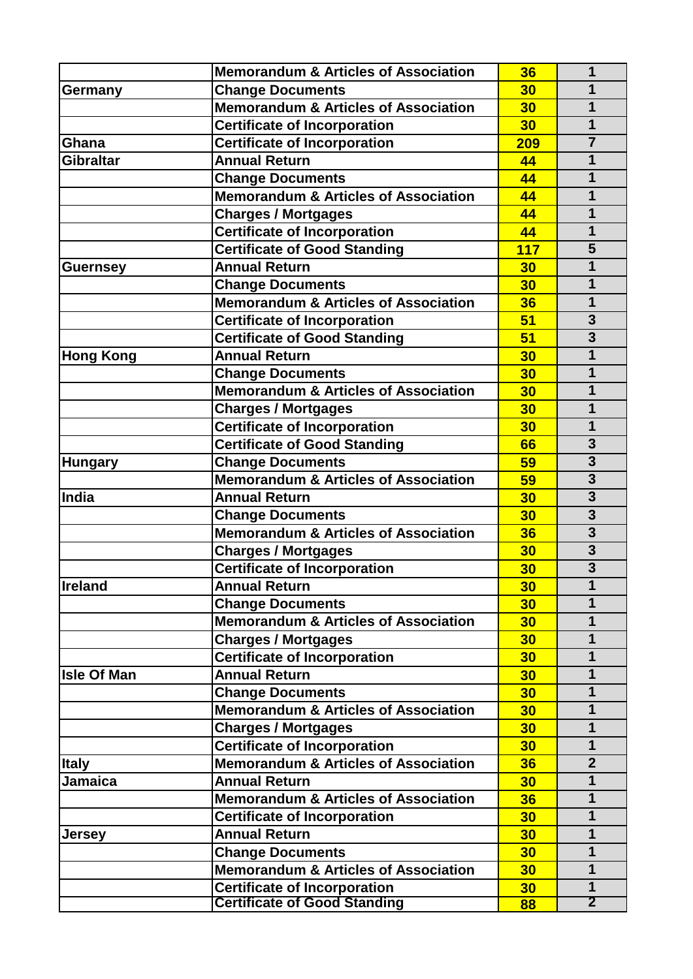|                    | <b>Memorandum &amp; Articles of Association</b>                                                                                                          | 36                   | 1                       |
|--------------------|----------------------------------------------------------------------------------------------------------------------------------------------------------|----------------------|-------------------------|
| Germany            | <b>Change Documents</b>                                                                                                                                  | 30                   | 1                       |
|                    | <b>Memorandum &amp; Articles of Association</b>                                                                                                          | 30                   | 1                       |
|                    | <b>Certificate of Incorporation</b>                                                                                                                      | 30                   | $\overline{1}$          |
| Ghana              | <b>Certificate of Incorporation</b>                                                                                                                      | 209                  | $\overline{7}$          |
| <b>Gibraltar</b>   | <b>Annual Return</b>                                                                                                                                     | 44                   | 1                       |
|                    | <b>Change Documents</b>                                                                                                                                  | 44                   | 1                       |
|                    | <b>Memorandum &amp; Articles of Association</b>                                                                                                          | 44                   | 1                       |
|                    | <b>Charges / Mortgages</b>                                                                                                                               | 44                   | 1                       |
|                    | <b>Certificate of Incorporation</b>                                                                                                                      | 44                   | $\mathbf 1$             |
|                    | <b>Certificate of Good Standing</b>                                                                                                                      | 117                  | 5                       |
| <b>Guernsey</b>    | <b>Annual Return</b>                                                                                                                                     | 30                   | 1                       |
|                    | <b>Change Documents</b>                                                                                                                                  | 30                   | $\mathbf 1$             |
|                    | <b>Memorandum &amp; Articles of Association</b>                                                                                                          | 36                   | 1                       |
|                    | <b>Certificate of Incorporation</b>                                                                                                                      | 51                   | $\overline{\mathbf{3}}$ |
|                    | <b>Certificate of Good Standing</b>                                                                                                                      | 51                   | $\overline{3}$          |
| <b>Hong Kong</b>   | <b>Annual Return</b>                                                                                                                                     | 30                   | 1                       |
|                    | <b>Change Documents</b>                                                                                                                                  | 30                   | 1                       |
|                    | <b>Memorandum &amp; Articles of Association</b>                                                                                                          | 30                   | 1                       |
|                    | <b>Charges / Mortgages</b>                                                                                                                               | 30                   | 1                       |
|                    | <b>Certificate of Incorporation</b>                                                                                                                      | 30                   | 1                       |
|                    | <b>Certificate of Good Standing</b>                                                                                                                      | 66                   | $\overline{\mathbf{3}}$ |
| <b>Hungary</b>     | <b>Change Documents</b>                                                                                                                                  | 59                   | $\overline{\mathbf{3}}$ |
|                    | Memorandum & Articles of Association                                                                                                                     | 59                   | $\overline{\mathbf{3}}$ |
| India              | <b>Annual Return</b>                                                                                                                                     | 30                   | 3                       |
|                    | <b>Change Documents</b>                                                                                                                                  | 30                   | $\overline{\mathbf{3}}$ |
|                    | <b>Memorandum &amp; Articles of Association</b>                                                                                                          | 36                   | $\overline{\mathbf{3}}$ |
|                    | <b>Charges / Mortgages</b>                                                                                                                               | 30                   | $\overline{\mathbf{3}}$ |
|                    | <b>Certificate of Incorporation</b>                                                                                                                      | 30                   | $\overline{3}$          |
| <b>Ireland</b>     | <b>Annual Return</b>                                                                                                                                     | 30                   | 1                       |
|                    | <b>Change Documents</b>                                                                                                                                  | 30                   | 1                       |
|                    | <b>Memorandum &amp; Articles of Association</b>                                                                                                          | 30                   | $\mathbf 1$             |
|                    | <b>Charges / Mortgages</b>                                                                                                                               | 30                   | $\mathbf 1$             |
|                    | <b>Certificate of Incorporation</b>                                                                                                                      | 30                   | $\mathbf 1$             |
| <b>Isle Of Man</b> | <b>Annual Return</b>                                                                                                                                     | 30                   | $\mathbf 1$             |
|                    | <b>Change Documents</b>                                                                                                                                  | 30                   | $\mathbf 1$             |
|                    | <b>Memorandum &amp; Articles of Association</b>                                                                                                          | 30                   | $\mathbf 1$             |
|                    | <b>Charges / Mortgages</b>                                                                                                                               | 30                   | $\mathbf 1$             |
|                    | <b>Certificate of Incorporation</b>                                                                                                                      | 30                   | $\mathbf 1$             |
| <b>Italy</b>       | <b>Memorandum &amp; Articles of Association</b>                                                                                                          | 36                   | $\overline{2}$          |
| <b>Jamaica</b>     | <b>Annual Return</b>                                                                                                                                     | 30                   | $\overline{1}$          |
|                    | <b>Memorandum &amp; Articles of Association</b>                                                                                                          | 36                   | 1                       |
|                    | <b>Certificate of Incorporation</b>                                                                                                                      | 30                   | 1                       |
|                    | <b>Annual Return</b>                                                                                                                                     | 30                   | $\mathbf 1$             |
|                    |                                                                                                                                                          |                      | $\mathbf 1$             |
|                    |                                                                                                                                                          |                      | $\mathbf 1$             |
|                    |                                                                                                                                                          |                      | $\mathbf 1$             |
|                    |                                                                                                                                                          |                      | $\overline{2}$          |
| <b>Jersey</b>      | <b>Change Documents</b><br><b>Memorandum &amp; Articles of Association</b><br><b>Certificate of Incorporation</b><br><b>Certificate of Good Standing</b> | 30<br>30<br>30<br>88 |                         |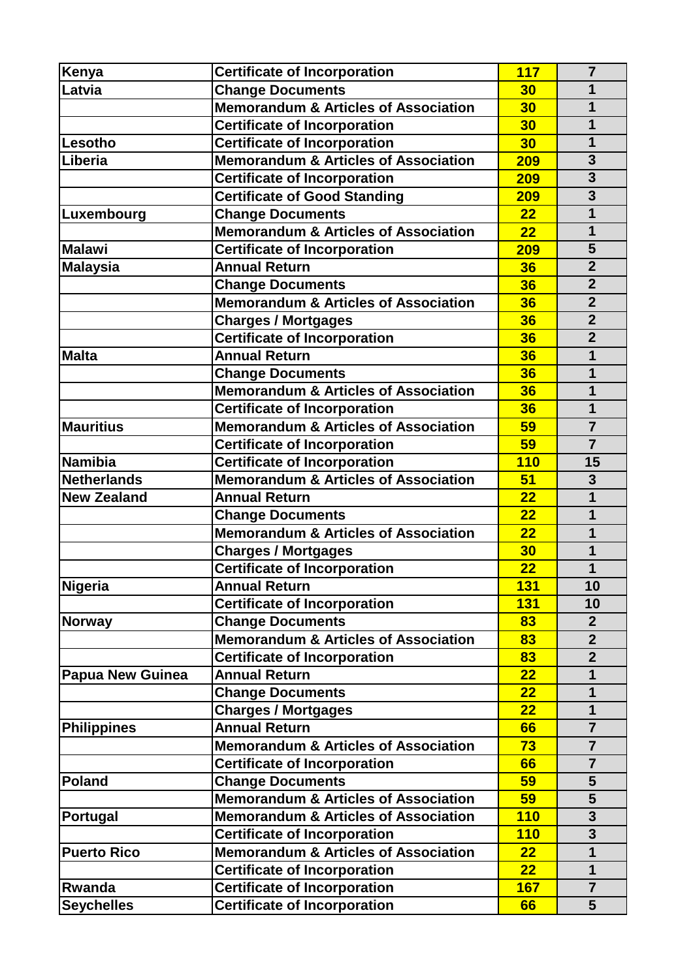|                                                 |                                                                                                                                                                                                                                                                                                                                                                                                                                                                                                                                                                                                                                                                                                                                                                                                                                                                                                                                                                                                                                                                                                                                                                                                                                                                                                       | $\overline{7}$                                                                                                                                                                                               |
|-------------------------------------------------|-------------------------------------------------------------------------------------------------------------------------------------------------------------------------------------------------------------------------------------------------------------------------------------------------------------------------------------------------------------------------------------------------------------------------------------------------------------------------------------------------------------------------------------------------------------------------------------------------------------------------------------------------------------------------------------------------------------------------------------------------------------------------------------------------------------------------------------------------------------------------------------------------------------------------------------------------------------------------------------------------------------------------------------------------------------------------------------------------------------------------------------------------------------------------------------------------------------------------------------------------------------------------------------------------------|--------------------------------------------------------------------------------------------------------------------------------------------------------------------------------------------------------------|
|                                                 |                                                                                                                                                                                                                                                                                                                                                                                                                                                                                                                                                                                                                                                                                                                                                                                                                                                                                                                                                                                                                                                                                                                                                                                                                                                                                                       | 1                                                                                                                                                                                                            |
|                                                 |                                                                                                                                                                                                                                                                                                                                                                                                                                                                                                                                                                                                                                                                                                                                                                                                                                                                                                                                                                                                                                                                                                                                                                                                                                                                                                       | 1                                                                                                                                                                                                            |
|                                                 |                                                                                                                                                                                                                                                                                                                                                                                                                                                                                                                                                                                                                                                                                                                                                                                                                                                                                                                                                                                                                                                                                                                                                                                                                                                                                                       | 1                                                                                                                                                                                                            |
|                                                 |                                                                                                                                                                                                                                                                                                                                                                                                                                                                                                                                                                                                                                                                                                                                                                                                                                                                                                                                                                                                                                                                                                                                                                                                                                                                                                       | $\mathbf{1}$                                                                                                                                                                                                 |
|                                                 |                                                                                                                                                                                                                                                                                                                                                                                                                                                                                                                                                                                                                                                                                                                                                                                                                                                                                                                                                                                                                                                                                                                                                                                                                                                                                                       | 3                                                                                                                                                                                                            |
|                                                 |                                                                                                                                                                                                                                                                                                                                                                                                                                                                                                                                                                                                                                                                                                                                                                                                                                                                                                                                                                                                                                                                                                                                                                                                                                                                                                       | $\overline{\mathbf{3}}$                                                                                                                                                                                      |
|                                                 |                                                                                                                                                                                                                                                                                                                                                                                                                                                                                                                                                                                                                                                                                                                                                                                                                                                                                                                                                                                                                                                                                                                                                                                                                                                                                                       | $\overline{\mathbf{3}}$                                                                                                                                                                                      |
|                                                 |                                                                                                                                                                                                                                                                                                                                                                                                                                                                                                                                                                                                                                                                                                                                                                                                                                                                                                                                                                                                                                                                                                                                                                                                                                                                                                       |                                                                                                                                                                                                              |
|                                                 |                                                                                                                                                                                                                                                                                                                                                                                                                                                                                                                                                                                                                                                                                                                                                                                                                                                                                                                                                                                                                                                                                                                                                                                                                                                                                                       | $\mathbf 1$<br>$\mathbf{1}$                                                                                                                                                                                  |
|                                                 |                                                                                                                                                                                                                                                                                                                                                                                                                                                                                                                                                                                                                                                                                                                                                                                                                                                                                                                                                                                                                                                                                                                                                                                                                                                                                                       |                                                                                                                                                                                                              |
|                                                 |                                                                                                                                                                                                                                                                                                                                                                                                                                                                                                                                                                                                                                                                                                                                                                                                                                                                                                                                                                                                                                                                                                                                                                                                                                                                                                       | 5<br>$\overline{2}$                                                                                                                                                                                          |
|                                                 |                                                                                                                                                                                                                                                                                                                                                                                                                                                                                                                                                                                                                                                                                                                                                                                                                                                                                                                                                                                                                                                                                                                                                                                                                                                                                                       |                                                                                                                                                                                                              |
|                                                 |                                                                                                                                                                                                                                                                                                                                                                                                                                                                                                                                                                                                                                                                                                                                                                                                                                                                                                                                                                                                                                                                                                                                                                                                                                                                                                       | $\overline{2}$                                                                                                                                                                                               |
|                                                 |                                                                                                                                                                                                                                                                                                                                                                                                                                                                                                                                                                                                                                                                                                                                                                                                                                                                                                                                                                                                                                                                                                                                                                                                                                                                                                       | $\overline{2}$                                                                                                                                                                                               |
|                                                 |                                                                                                                                                                                                                                                                                                                                                                                                                                                                                                                                                                                                                                                                                                                                                                                                                                                                                                                                                                                                                                                                                                                                                                                                                                                                                                       | $\overline{2}$                                                                                                                                                                                               |
|                                                 |                                                                                                                                                                                                                                                                                                                                                                                                                                                                                                                                                                                                                                                                                                                                                                                                                                                                                                                                                                                                                                                                                                                                                                                                                                                                                                       | $\overline{2}$                                                                                                                                                                                               |
|                                                 |                                                                                                                                                                                                                                                                                                                                                                                                                                                                                                                                                                                                                                                                                                                                                                                                                                                                                                                                                                                                                                                                                                                                                                                                                                                                                                       | 1                                                                                                                                                                                                            |
|                                                 |                                                                                                                                                                                                                                                                                                                                                                                                                                                                                                                                                                                                                                                                                                                                                                                                                                                                                                                                                                                                                                                                                                                                                                                                                                                                                                       | 1                                                                                                                                                                                                            |
|                                                 |                                                                                                                                                                                                                                                                                                                                                                                                                                                                                                                                                                                                                                                                                                                                                                                                                                                                                                                                                                                                                                                                                                                                                                                                                                                                                                       | 1                                                                                                                                                                                                            |
|                                                 |                                                                                                                                                                                                                                                                                                                                                                                                                                                                                                                                                                                                                                                                                                                                                                                                                                                                                                                                                                                                                                                                                                                                                                                                                                                                                                       | 1                                                                                                                                                                                                            |
|                                                 |                                                                                                                                                                                                                                                                                                                                                                                                                                                                                                                                                                                                                                                                                                                                                                                                                                                                                                                                                                                                                                                                                                                                                                                                                                                                                                       | $\overline{7}$                                                                                                                                                                                               |
|                                                 |                                                                                                                                                                                                                                                                                                                                                                                                                                                                                                                                                                                                                                                                                                                                                                                                                                                                                                                                                                                                                                                                                                                                                                                                                                                                                                       | $\overline{7}$                                                                                                                                                                                               |
|                                                 |                                                                                                                                                                                                                                                                                                                                                                                                                                                                                                                                                                                                                                                                                                                                                                                                                                                                                                                                                                                                                                                                                                                                                                                                                                                                                                       | 15                                                                                                                                                                                                           |
|                                                 |                                                                                                                                                                                                                                                                                                                                                                                                                                                                                                                                                                                                                                                                                                                                                                                                                                                                                                                                                                                                                                                                                                                                                                                                                                                                                                       | $\overline{\mathbf{3}}$                                                                                                                                                                                      |
|                                                 |                                                                                                                                                                                                                                                                                                                                                                                                                                                                                                                                                                                                                                                                                                                                                                                                                                                                                                                                                                                                                                                                                                                                                                                                                                                                                                       | 1                                                                                                                                                                                                            |
| <b>Change Documents</b>                         |                                                                                                                                                                                                                                                                                                                                                                                                                                                                                                                                                                                                                                                                                                                                                                                                                                                                                                                                                                                                                                                                                                                                                                                                                                                                                                       | 1                                                                                                                                                                                                            |
|                                                 |                                                                                                                                                                                                                                                                                                                                                                                                                                                                                                                                                                                                                                                                                                                                                                                                                                                                                                                                                                                                                                                                                                                                                                                                                                                                                                       | 1                                                                                                                                                                                                            |
|                                                 |                                                                                                                                                                                                                                                                                                                                                                                                                                                                                                                                                                                                                                                                                                                                                                                                                                                                                                                                                                                                                                                                                                                                                                                                                                                                                                       | 1                                                                                                                                                                                                            |
|                                                 |                                                                                                                                                                                                                                                                                                                                                                                                                                                                                                                                                                                                                                                                                                                                                                                                                                                                                                                                                                                                                                                                                                                                                                                                                                                                                                       | 1                                                                                                                                                                                                            |
|                                                 | <b>131</b>                                                                                                                                                                                                                                                                                                                                                                                                                                                                                                                                                                                                                                                                                                                                                                                                                                                                                                                                                                                                                                                                                                                                                                                                                                                                                            | 10                                                                                                                                                                                                           |
|                                                 |                                                                                                                                                                                                                                                                                                                                                                                                                                                                                                                                                                                                                                                                                                                                                                                                                                                                                                                                                                                                                                                                                                                                                                                                                                                                                                       | 10                                                                                                                                                                                                           |
| <b>Change Documents</b>                         | 83                                                                                                                                                                                                                                                                                                                                                                                                                                                                                                                                                                                                                                                                                                                                                                                                                                                                                                                                                                                                                                                                                                                                                                                                                                                                                                    | $\overline{2}$                                                                                                                                                                                               |
| <b>Memorandum &amp; Articles of Association</b> | 83                                                                                                                                                                                                                                                                                                                                                                                                                                                                                                                                                                                                                                                                                                                                                                                                                                                                                                                                                                                                                                                                                                                                                                                                                                                                                                    | $\overline{2}$                                                                                                                                                                                               |
| <b>Certificate of Incorporation</b>             | 83                                                                                                                                                                                                                                                                                                                                                                                                                                                                                                                                                                                                                                                                                                                                                                                                                                                                                                                                                                                                                                                                                                                                                                                                                                                                                                    | $\overline{2}$                                                                                                                                                                                               |
| <b>Annual Return</b>                            | 22                                                                                                                                                                                                                                                                                                                                                                                                                                                                                                                                                                                                                                                                                                                                                                                                                                                                                                                                                                                                                                                                                                                                                                                                                                                                                                    | 1                                                                                                                                                                                                            |
| <b>Change Documents</b>                         | 22                                                                                                                                                                                                                                                                                                                                                                                                                                                                                                                                                                                                                                                                                                                                                                                                                                                                                                                                                                                                                                                                                                                                                                                                                                                                                                    | 1                                                                                                                                                                                                            |
| <b>Charges / Mortgages</b>                      | 22                                                                                                                                                                                                                                                                                                                                                                                                                                                                                                                                                                                                                                                                                                                                                                                                                                                                                                                                                                                                                                                                                                                                                                                                                                                                                                    | 1                                                                                                                                                                                                            |
| <b>Annual Return</b>                            | 66                                                                                                                                                                                                                                                                                                                                                                                                                                                                                                                                                                                                                                                                                                                                                                                                                                                                                                                                                                                                                                                                                                                                                                                                                                                                                                    | $\overline{7}$                                                                                                                                                                                               |
| <b>Memorandum &amp; Articles of Association</b> | 73                                                                                                                                                                                                                                                                                                                                                                                                                                                                                                                                                                                                                                                                                                                                                                                                                                                                                                                                                                                                                                                                                                                                                                                                                                                                                                    | $\overline{7}$                                                                                                                                                                                               |
| <b>Certificate of Incorporation</b>             | 66                                                                                                                                                                                                                                                                                                                                                                                                                                                                                                                                                                                                                                                                                                                                                                                                                                                                                                                                                                                                                                                                                                                                                                                                                                                                                                    | $\overline{7}$                                                                                                                                                                                               |
| <b>Change Documents</b>                         | 59                                                                                                                                                                                                                                                                                                                                                                                                                                                                                                                                                                                                                                                                                                                                                                                                                                                                                                                                                                                                                                                                                                                                                                                                                                                                                                    | 5                                                                                                                                                                                                            |
| <b>Memorandum &amp; Articles of Association</b> | 59                                                                                                                                                                                                                                                                                                                                                                                                                                                                                                                                                                                                                                                                                                                                                                                                                                                                                                                                                                                                                                                                                                                                                                                                                                                                                                    | 5                                                                                                                                                                                                            |
| <b>Memorandum &amp; Articles of Association</b> | 110                                                                                                                                                                                                                                                                                                                                                                                                                                                                                                                                                                                                                                                                                                                                                                                                                                                                                                                                                                                                                                                                                                                                                                                                                                                                                                   | 3                                                                                                                                                                                                            |
| <b>Certificate of Incorporation</b>             | 110                                                                                                                                                                                                                                                                                                                                                                                                                                                                                                                                                                                                                                                                                                                                                                                                                                                                                                                                                                                                                                                                                                                                                                                                                                                                                                   | 3                                                                                                                                                                                                            |
| <b>Memorandum &amp; Articles of Association</b> | 22                                                                                                                                                                                                                                                                                                                                                                                                                                                                                                                                                                                                                                                                                                                                                                                                                                                                                                                                                                                                                                                                                                                                                                                                                                                                                                    | 1                                                                                                                                                                                                            |
|                                                 | 22                                                                                                                                                                                                                                                                                                                                                                                                                                                                                                                                                                                                                                                                                                                                                                                                                                                                                                                                                                                                                                                                                                                                                                                                                                                                                                    | 1                                                                                                                                                                                                            |
|                                                 | <b>167</b>                                                                                                                                                                                                                                                                                                                                                                                                                                                                                                                                                                                                                                                                                                                                                                                                                                                                                                                                                                                                                                                                                                                                                                                                                                                                                            | $\overline{7}$                                                                                                                                                                                               |
|                                                 | 66                                                                                                                                                                                                                                                                                                                                                                                                                                                                                                                                                                                                                                                                                                                                                                                                                                                                                                                                                                                                                                                                                                                                                                                                                                                                                                    | 5                                                                                                                                                                                                            |
|                                                 | <b>Certificate of Incorporation</b><br><b>Change Documents</b><br><b>Memorandum &amp; Articles of Association</b><br><b>Certificate of Incorporation</b><br><b>Certificate of Incorporation</b><br><b>Memorandum &amp; Articles of Association</b><br><b>Certificate of Incorporation</b><br><b>Certificate of Good Standing</b><br><b>Change Documents</b><br><b>Memorandum &amp; Articles of Association</b><br><b>Certificate of Incorporation</b><br><b>Annual Return</b><br><b>Change Documents</b><br><b>Memorandum &amp; Articles of Association</b><br><b>Charges / Mortgages</b><br><b>Certificate of Incorporation</b><br><b>Annual Return</b><br><b>Change Documents</b><br><b>Memorandum &amp; Articles of Association</b><br><b>Certificate of Incorporation</b><br><b>Memorandum &amp; Articles of Association</b><br><b>Certificate of Incorporation</b><br><b>Certificate of Incorporation</b><br><b>Memorandum &amp; Articles of Association</b><br><b>Annual Return</b><br><b>Memorandum &amp; Articles of Association</b><br><b>Charges / Mortgages</b><br><b>Certificate of Incorporation</b><br><b>Annual Return</b><br><b>Certificate of Incorporation</b><br><b>Certificate of Incorporation</b><br><b>Certificate of Incorporation</b><br><b>Certificate of Incorporation</b> | <b>117</b><br>30<br>30<br>30<br>30<br>209<br>209<br>209<br>22<br>22<br>209<br>36<br>36<br>36<br>36<br>36<br>36<br>36<br>36<br>36<br>59<br>59<br><b>110</b><br>51<br>22<br>22<br>22<br>30<br>22<br><b>131</b> |